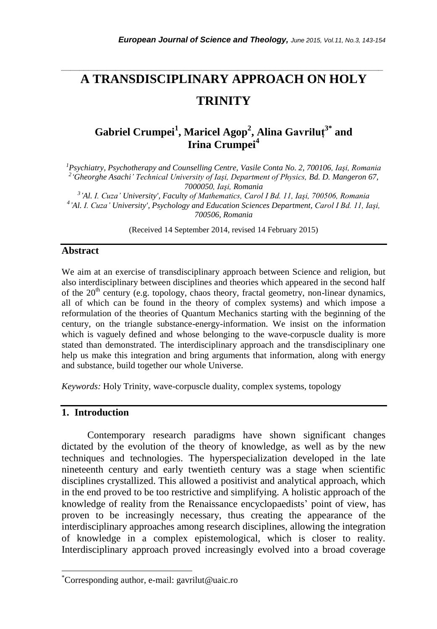# **A TRANSDISCIPLINARY APPROACH ON HOLY TRINITY**

*\_\_\_\_\_\_\_\_\_\_\_\_\_\_\_\_\_\_\_\_\_\_\_\_\_\_\_\_\_\_\_\_\_\_\_\_\_\_\_\_\_\_\_\_\_\_\_\_\_\_\_\_\_\_\_\_\_\_\_\_\_\_\_\_\_\_\_\_\_\_\_*

## **Gabriel Crumpei<sup>1</sup> , Maricel Agop<sup>2</sup> , Alina Gavriluţ3\* and Irina Crumpei<sup>4</sup>**

*Psychiatry, Psychotherapy and Counselling Centre, Vasile Conta No. 2, 700106, Iaşi, Romania 'Gheorghe Asachi' Technical University of Iaşi, Department of Physics, Bd. D. Mangeron 67, 7000050, Iaşi, Romania 'Al. I. Cuza' University', Faculty of Mathematics, Carol I Bd. 11, Iaşi, 700506, Romania 'Al. I. Cuza' University', Psychology and Education Sciences Department, Carol I Bd. 11, Iaşi, 700506, Romania*

(Received 14 September 2014, revised 14 February 2015)

#### **Abstract**

We aim at an exercise of transdisciplinary approach between Science and religion, but also interdisciplinary between disciplines and theories which appeared in the second half of the  $20<sup>th</sup>$  century (e.g. topology, chaos theory, fractal geometry, non-linear dynamics, all of which can be found in the theory of complex systems) and which impose a reformulation of the theories of Quantum Mechanics starting with the beginning of the century, on the triangle substance-energy-information. We insist on the information which is vaguely defined and whose belonging to the wave-corpuscle duality is more stated than demonstrated. The interdisciplinary approach and the transdisciplinary one help us make this integration and bring arguments that information, along with energy and substance, build together our whole Universe.

*Keywords:* Holy Trinity, wave-corpuscle duality, complex systems, topology

#### **1. Introduction**

l

Contemporary research paradigms have shown significant changes dictated by the evolution of the theory of knowledge, as well as by the new techniques and technologies. The hyperspecialization developed in the late nineteenth century and early twentieth century was a stage when scientific disciplines crystallized. This allowed a positivist and analytical approach, which in the end proved to be too restrictive and simplifying. A holistic approach of the knowledge of reality from the Renaissance encyclopaedists' point of view, has proven to be increasingly necessary, thus creating the appearance of the interdisciplinary approaches among research disciplines, allowing the integration of knowledge in a complex epistemological, which is closer to reality. Interdisciplinary approach proved increasingly evolved into a broad coverage

<sup>\*</sup>Corresponding author, e-mail: gavrilut@uaic.ro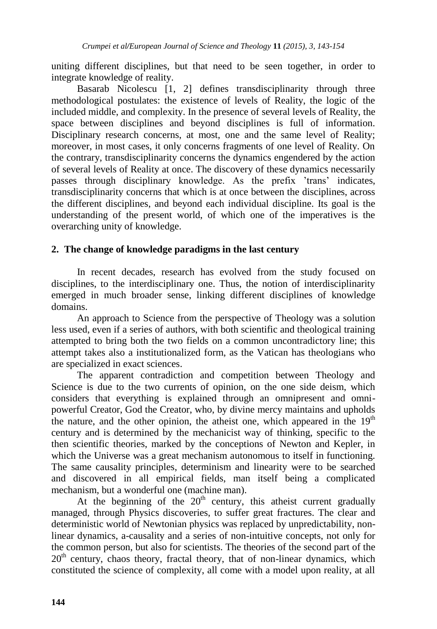uniting different disciplines, but that need to be seen together, in order to integrate knowledge of reality.

Basarab Nicolescu [1, 2] defines transdisciplinarity through three methodological postulates: the existence of levels of Reality, the logic of the included middle, and complexity. In the presence of several levels of Reality, the space between disciplines and beyond disciplines is full of information. Disciplinary research concerns, at most, one and the same level of Reality; moreover, in most cases, it only concerns fragments of one level of Reality. On the contrary, transdisciplinarity concerns the dynamics engendered by the action of several levels of Reality at once. The discovery of these dynamics necessarily passes through disciplinary knowledge. As the prefix "trans" indicates, transdisciplinarity concerns that which is at once between the disciplines, across the different disciplines, and beyond each individual discipline. Its goal is the understanding of the present world, of which one of the imperatives is the overarching unity of knowledge.

## **2. The change of knowledge paradigms in the last century**

In recent decades, research has evolved from the study focused on disciplines, to the interdisciplinary one. Thus, the notion of interdisciplinarity emerged in much broader sense, linking different disciplines of knowledge domains.

An approach to Science from the perspective of Theology was a solution less used, even if a series of authors, with both scientific and theological training attempted to bring both the two fields on a common uncontradictory line; this attempt takes also a institutionalized form, as the Vatican has theologians who are specialized in exact sciences.

The apparent contradiction and competition between Theology and Science is due to the two currents of opinion, on the one side deism, which considers that everything is explained through an omnipresent and omnipowerful Creator, God the Creator, who, by divine mercy maintains and upholds the nature, and the other opinion, the atheist one, which appeared in the  $19<sup>th</sup>$ century and is determined by the mechanicist way of thinking, specific to the then scientific theories, marked by the conceptions of Newton and Kepler, in which the Universe was a great mechanism autonomous to itself in functioning. The same causality principles, determinism and linearity were to be searched and discovered in all empirical fields, man itself being a complicated mechanism, but a wonderful one (machine man).

At the beginning of the  $20<sup>th</sup>$  century, this atheist current gradually managed, through Physics discoveries, to suffer great fractures. The clear and deterministic world of Newtonian physics was replaced by unpredictability, nonlinear dynamics, a-causality and a series of non-intuitive concepts, not only for the common person, but also for scientists. The theories of the second part of the 20<sup>th</sup> century, chaos theory, fractal theory, that of non-linear dynamics, which constituted the science of complexity, all come with a model upon reality, at all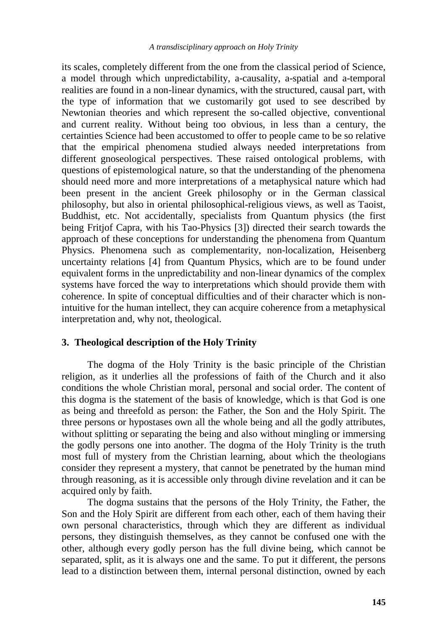its scales, completely different from the one from the classical period of Science, a model through which unpredictability, a-causality, a-spatial and a-temporal realities are found in a non-linear dynamics, with the structured, causal part, with the type of information that we customarily got used to see described by Newtonian theories and which represent the so-called objective, conventional and current reality. Without being too obvious, in less than a century, the certainties Science had been accustomed to offer to people came to be so relative that the empirical phenomena studied always needed interpretations from different gnoseological perspectives. These raised ontological problems, with questions of epistemological nature, so that the understanding of the phenomena should need more and more interpretations of a metaphysical nature which had been present in the ancient Greek philosophy or in the German classical philosophy, but also in oriental philosophical-religious views, as well as Taoist, Buddhist, etc. Not accidentally, specialists from Quantum physics (the first being Fritjof Capra, with his Tao-Physics [3]) directed their search towards the approach of these conceptions for understanding the phenomena from Quantum Physics. Phenomena such as complementarity, non-localization, Heisenberg uncertainty relations [4] from Quantum Physics, which are to be found under equivalent forms in the unpredictability and non-linear dynamics of the complex systems have forced the way to interpretations which should provide them with coherence. In spite of conceptual difficulties and of their character which is nonintuitive for the human intellect, they can acquire coherence from a metaphysical interpretation and, why not, theological.

## **3. Theological description of the Holy Trinity**

The dogma of the Holy Trinity is the basic principle of the Christian religion, as it underlies all the professions of faith of the Church and it also conditions the whole Christian moral, personal and social order. The content of this dogma is the statement of the basis of knowledge, which is that God is one as being and threefold as person: the Father, the Son and the Holy Spirit. The three persons or hypostases own all the whole being and all the godly attributes, without splitting or separating the being and also without mingling or immersing the godly persons one into another. The dogma of the Holy Trinity is the truth most full of mystery from the Christian learning, about which the theologians consider they represent a mystery, that cannot be penetrated by the human mind through reasoning, as it is accessible only through divine revelation and it can be acquired only by faith.

The dogma sustains that the persons of the Holy Trinity, the Father, the Son and the Holy Spirit are different from each other, each of them having their own personal characteristics, through which they are different as individual persons, they distinguish themselves, as they cannot be confused one with the other, although every godly person has the full divine being, which cannot be separated, split, as it is always one and the same. To put it different, the persons lead to a distinction between them, internal personal distinction, owned by each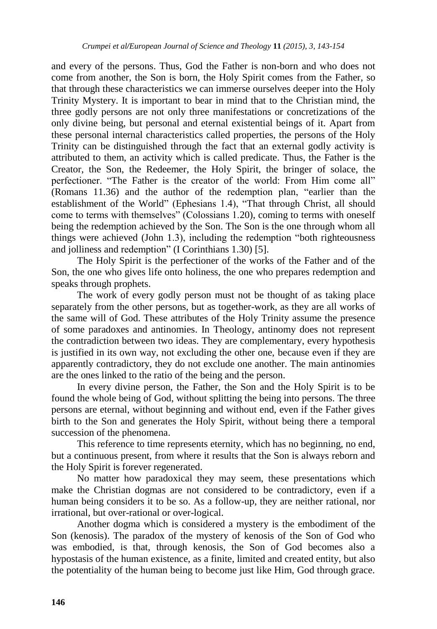and every of the persons. Thus, God the Father is non-born and who does not come from another, the Son is born, the Holy Spirit comes from the Father, so that through these characteristics we can immerse ourselves deeper into the Holy Trinity Mystery. It is important to bear in mind that to the Christian mind, the three godly persons are not only three manifestations or concretizations of the only divine being, but personal and eternal existential beings of it. Apart from these personal internal characteristics called properties, the persons of the Holy Trinity can be distinguished through the fact that an external godly activity is attributed to them, an activity which is called predicate. Thus, the Father is the Creator, the Son, the Redeemer, the Holy Spirit, the bringer of solace, the perfectioner. "The Father is the creator of the world: From Him come all" (Romans 11.36) and the author of the redemption plan, "earlier than the establishment of the World" (Ephesians 1.4), "That through Christ, all should come to terms with themselves" (Colossians 1.20), coming to terms with oneself being the redemption achieved by the Son. The Son is the one through whom all things were achieved (John 1.3), including the redemption "both righteousness and jolliness and redemption" (I Corinthians 1.30) [5].

The Holy Spirit is the perfectioner of the works of the Father and of the Son, the one who gives life onto holiness, the one who prepares redemption and speaks through prophets.

The work of every godly person must not be thought of as taking place separately from the other persons, but as together-work, as they are all works of the same will of God. These attributes of the Holy Trinity assume the presence of some paradoxes and antinomies. In Theology, antinomy does not represent the contradiction between two ideas. They are complementary, every hypothesis is justified in its own way, not excluding the other one, because even if they are apparently contradictory, they do not exclude one another. The main antinomies are the ones linked to the ratio of the being and the person.

In every divine person, the Father, the Son and the Holy Spirit is to be found the whole being of God, without splitting the being into persons. The three persons are eternal, without beginning and without end, even if the Father gives birth to the Son and generates the Holy Spirit, without being there a temporal succession of the phenomena.

This reference to time represents eternity, which has no beginning, no end, but a continuous present, from where it results that the Son is always reborn and the Holy Spirit is forever regenerated.

No matter how paradoxical they may seem, these presentations which make the Christian dogmas are not considered to be contradictory, even if a human being considers it to be so. As a follow-up, they are neither rational, nor irrational, but over-rational or over-logical.

Another dogma which is considered a mystery is the embodiment of the Son (kenosis). The paradox of the mystery of kenosis of the Son of God who was embodied, is that, through kenosis, the Son of God becomes also a hypostasis of the human existence, as a finite, limited and created entity, but also the potentiality of the human being to become just like Him, God through grace.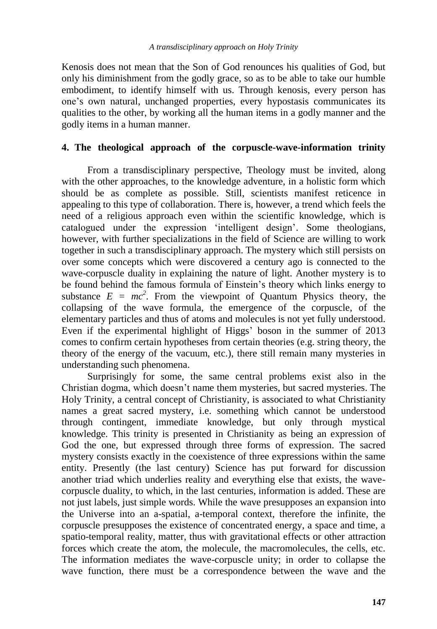Kenosis does not mean that the Son of God renounces his qualities of God, but only his diminishment from the godly grace, so as to be able to take our humble embodiment, to identify himself with us. Through kenosis, every person has one"s own natural, unchanged properties, every hypostasis communicates its qualities to the other, by working all the human items in a godly manner and the godly items in a human manner.

## **4. The theological approach of the corpuscle-wave-information trinity**

From a transdisciplinary perspective, Theology must be invited, along with the other approaches, to the knowledge adventure, in a holistic form which should be as complete as possible. Still, scientists manifest reticence in appealing to this type of collaboration. There is, however, a trend which feels the need of a religious approach even within the scientific knowledge, which is catalogued under the expression "intelligent design". Some theologians, however, with further specializations in the field of Science are willing to work together in such a transdisciplinary approach. The mystery which still persists on over some concepts which were discovered a century ago is connected to the wave-corpuscle duality in explaining the nature of light. Another mystery is to be found behind the famous formula of Einstein"s theory which links energy to substance  $E = mc^2$ . From the viewpoint of Quantum Physics theory, the collapsing of the wave formula, the emergence of the corpuscle, of the elementary particles and thus of atoms and molecules is not yet fully understood. Even if the experimental highlight of Higgs' boson in the summer of 2013 comes to confirm certain hypotheses from certain theories (e.g. string theory, the theory of the energy of the vacuum, etc.), there still remain many mysteries in understanding such phenomena.

Surprisingly for some, the same central problems exist also in the Christian dogma, which doesn"t name them mysteries, but sacred mysteries. The Holy Trinity, a central concept of Christianity, is associated to what Christianity names a great sacred mystery, i.e. something which cannot be understood through contingent, immediate knowledge, but only through mystical knowledge. This trinity is presented in Christianity as being an expression of God the one, but expressed through three forms of expression. The sacred mystery consists exactly in the coexistence of three expressions within the same entity. Presently (the last century) Science has put forward for discussion another triad which underlies reality and everything else that exists, the wavecorpuscle duality, to which, in the last centuries, information is added. These are not just labels, just simple words. While the wave presupposes an expansion into the Universe into an a-spatial, a-temporal context, therefore the infinite, the corpuscle presupposes the existence of concentrated energy, a space and time, a spatio-temporal reality, matter, thus with gravitational effects or other attraction forces which create the atom, the molecule, the macromolecules, the cells, etc. The information mediates the wave-corpuscle unity; in order to collapse the wave function, there must be a correspondence between the wave and the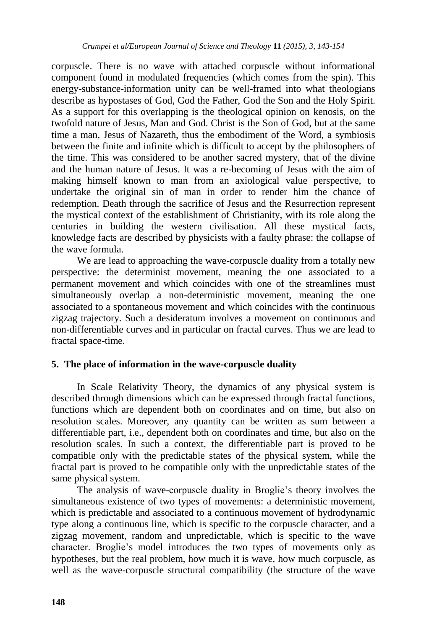corpuscle. There is no wave with attached corpuscle without informational component found in modulated frequencies (which comes from the spin). This energy-substance-information unity can be well-framed into what theologians describe as hypostases of God, God the Father, God the Son and the Holy Spirit. As a support for this overlapping is the theological opinion on kenosis, on the twofold nature of Jesus, Man and God. Christ is the Son of God, but at the same time a man, Jesus of Nazareth, thus the embodiment of the Word, a symbiosis between the finite and infinite which is difficult to accept by the philosophers of the time. This was considered to be another sacred mystery, that of the divine and the human nature of Jesus. It was a re-becoming of Jesus with the aim of making himself known to man from an axiological value perspective, to undertake the original sin of man in order to render him the chance of redemption. Death through the sacrifice of Jesus and the Resurrection represent the mystical context of the establishment of Christianity, with its role along the centuries in building the western civilisation. All these mystical facts, knowledge facts are described by physicists with a faulty phrase: the collapse of the wave formula.

We are lead to approaching the wave-corpuscle duality from a totally new perspective: the determinist movement, meaning the one associated to a permanent movement and which coincides with one of the streamlines must simultaneously overlap a non-deterministic movement, meaning the one associated to a spontaneous movement and which coincides with the continuous zigzag trajectory. Such a desideratum involves a movement on continuous and non-differentiable curves and in particular on fractal curves. Thus we are lead to fractal space-time.

## **5. The place of information in the wave-corpuscle duality**

In Scale Relativity Theory, the dynamics of any physical system is described through dimensions which can be expressed through fractal functions, functions which are dependent both on coordinates and on time, but also on resolution scales. Moreover, any quantity can be written as sum between a differentiable part, i.e., dependent both on coordinates and time, but also on the resolution scales. In such a context, the differentiable part is proved to be compatible only with the predictable states of the physical system, while the fractal part is proved to be compatible only with the unpredictable states of the same physical system.

The analysis of wave-corpuscle duality in Broglie"s theory involves the simultaneous existence of two types of movements: a deterministic movement, which is predictable and associated to a continuous movement of hydrodynamic type along a continuous line, which is specific to the corpuscle character, and a zigzag movement, random and unpredictable, which is specific to the wave character. Broglie's model introduces the two types of movements only as hypotheses, but the real problem, how much it is wave, how much corpuscle, as well as the wave-corpuscle structural compatibility (the structure of the wave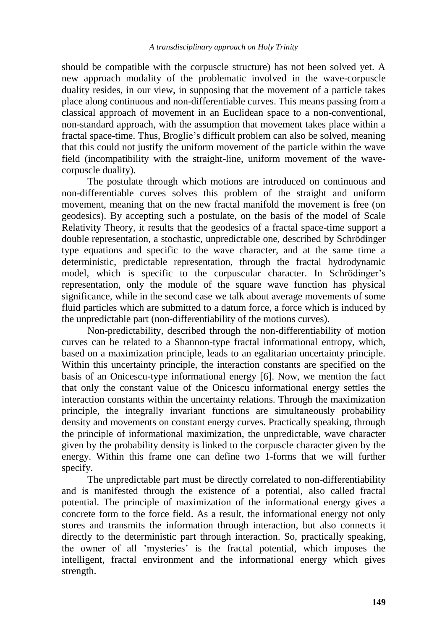should be compatible with the corpuscle structure) has not been solved yet. A new approach modality of the problematic involved in the wave-corpuscle duality resides, in our view, in supposing that the movement of a particle takes place along continuous and non-differentiable curves. This means passing from a classical approach of movement in an Euclidean space to a non-conventional, non-standard approach, with the assumption that movement takes place within a fractal space-time. Thus, Broglie"s difficult problem can also be solved, meaning that this could not justify the uniform movement of the particle within the wave field (incompatibility with the straight-line, uniform movement of the wavecorpuscle duality).

The postulate through which motions are introduced on continuous and non-differentiable curves solves this problem of the straight and uniform movement, meaning that on the new fractal manifold the movement is free (on geodesics). By accepting such a postulate, on the basis of the model of Scale Relativity Theory, it results that the geodesics of a fractal space-time support a double representation, a stochastic, unpredictable one, described by Schrödinger type equations and specific to the wave character, and at the same time a deterministic, predictable representation, through the fractal hydrodynamic model, which is specific to the corpuscular character. In Schrödinger"s representation, only the module of the square wave function has physical significance, while in the second case we talk about average movements of some fluid particles which are submitted to a datum force, a force which is induced by the unpredictable part (non-differentiability of the motions curves).

Non-predictability, described through the non-differentiability of motion curves can be related to a Shannon-type fractal informational entropy, which, based on a maximization principle, leads to an egalitarian uncertainty principle. Within this uncertainty principle, the interaction constants are specified on the basis of an Onicescu-type informational energy [6]. Now, we mention the fact that only the constant value of the Onicescu informational energy settles the interaction constants within the uncertainty relations. Through the maximization principle, the integrally invariant functions are simultaneously probability density and movements on constant energy curves. Practically speaking, through the principle of informational maximization, the unpredictable, wave character given by the probability density is linked to the corpuscle character given by the energy. Within this frame one can define two 1-forms that we will further specify.

The unpredictable part must be directly correlated to non-differentiability and is manifested through the existence of a potential, also called fractal potential. The principle of maximization of the informational energy gives a concrete form to the force field. As a result, the informational energy not only stores and transmits the information through interaction, but also connects it directly to the deterministic part through interaction. So, practically speaking, the owner of all "mysteries" is the fractal potential, which imposes the intelligent, fractal environment and the informational energy which gives strength.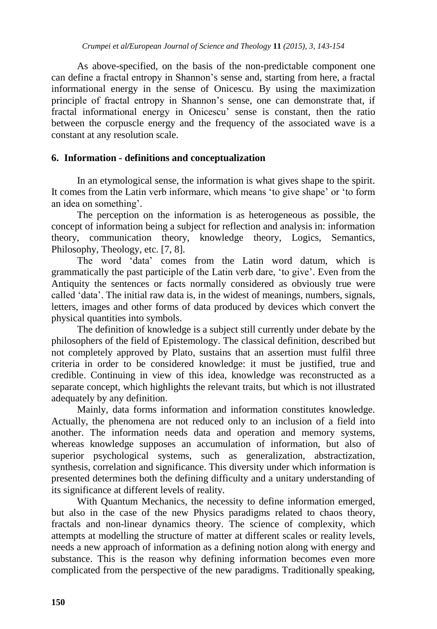As above-specified, on the basis of the non-predictable component one can define a fractal entropy in Shannon"s sense and, starting from here, a fractal informational energy in the sense of Onicescu. By using the maximization principle of fractal entropy in Shannon"s sense, one can demonstrate that, if fractal informational energy in Onicescu" sense is constant, then the ratio between the corpuscle energy and the frequency of the associated wave is a constant at any resolution scale.

## **6. Information - definitions and conceptualization**

In an etymological sense, the information is what gives shape to the spirit. It comes from the Latin verb informare, which means "to give shape" or "to form an idea on something'.

The perception on the information is as heterogeneous as possible, the concept of information being a subject for reflection and analysis in: information theory, communication theory, knowledge theory, Logics, Semantics, Philosophy, Theology, etc. [7, 8].

The word "data" comes from the Latin word datum, which is grammatically the past participle of the Latin verb dare, "to give". Even from the Antiquity the sentences or facts normally considered as obviously true were called "data". The initial raw data is, in the widest of meanings, numbers, signals, letters, images and other forms of data produced by devices which convert the physical quantities into symbols.

The definition of knowledge is a subject still currently under debate by the philosophers of the field of Epistemology. The classical definition, described but not completely approved by Plato, sustains that an assertion must fulfil three criteria in order to be considered knowledge: it must be justified, true and credible. Continuing in view of this idea, knowledge was reconstructed as a separate concept, which highlights the relevant traits, but which is not illustrated adequately by any definition.

Mainly, data forms information and information constitutes knowledge. Actually, the phenomena are not reduced only to an inclusion of a field into another. The information needs data and operation and memory systems, whereas knowledge supposes an accumulation of information, but also of superior psychological systems, such as generalization, abstractization, synthesis, correlation and significance. This diversity under which information is presented determines both the defining difficulty and a unitary understanding of its significance at different levels of reality.

With Quantum Mechanics, the necessity to define information emerged, but also in the case of the new Physics paradigms related to chaos theory, fractals and non-linear dynamics theory. The science of complexity, which attempts at modelling the structure of matter at different scales or reality levels, needs a new approach of information as a defining notion along with energy and substance. This is the reason why defining information becomes even more complicated from the perspective of the new paradigms. Traditionally speaking,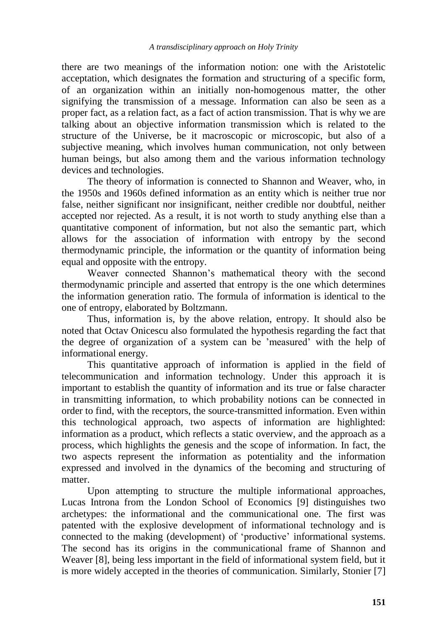there are two meanings of the information notion: one with the Aristotelic acceptation, which designates the formation and structuring of a specific form, of an organization within an initially non-homogenous matter, the other signifying the transmission of a message. Information can also be seen as a proper fact, as a relation fact, as a fact of action transmission. That is why we are talking about an objective information transmission which is related to the structure of the Universe, be it macroscopic or microscopic, but also of a subjective meaning, which involves human communication, not only between human beings, but also among them and the various information technology devices and technologies.

The theory of information is connected to Shannon and Weaver, who, in the 1950s and 1960s defined information as an entity which is neither true nor false, neither significant nor insignificant, neither credible nor doubtful, neither accepted nor rejected. As a result, it is not worth to study anything else than a quantitative component of information, but not also the semantic part, which allows for the association of information with entropy by the second thermodynamic principle, the information or the quantity of information being equal and opposite with the entropy.

Weaver connected Shannon"s mathematical theory with the second thermodynamic principle and asserted that entropy is the one which determines the information generation ratio. The formula of information is identical to the one of entropy, elaborated by Boltzmann.

Thus, information is, by the above relation, entropy. It should also be noted that Octav Onicescu also formulated the hypothesis regarding the fact that the degree of organization of a system can be "measured" with the help of informational energy.

This quantitative approach of information is applied in the field of telecommunication and information technology. Under this approach it is important to establish the quantity of information and its true or false character in transmitting information, to which probability notions can be connected in order to find, with the receptors, the source-transmitted information. Even within this technological approach, two aspects of information are highlighted: information as a product, which reflects a static overview, and the approach as a process, which highlights the genesis and the scope of information. In fact, the two aspects represent the information as potentiality and the information expressed and involved in the dynamics of the becoming and structuring of matter.

Upon attempting to structure the multiple informational approaches, Lucas Introna from the London School of Economics [9] distinguishes two archetypes: the informational and the communicational one. The first was patented with the explosive development of informational technology and is connected to the making (development) of "productive" informational systems. The second has its origins in the communicational frame of Shannon and Weaver [8], being less important in the field of informational system field, but it is more widely accepted in the theories of communication. Similarly, Stonier [7]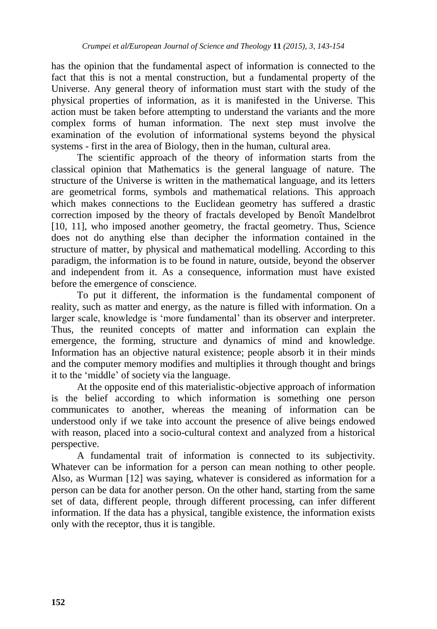has the opinion that the fundamental aspect of information is connected to the fact that this is not a mental construction, but a fundamental property of the Universe. Any general theory of information must start with the study of the physical properties of information, as it is manifested in the Universe. This action must be taken before attempting to understand the variants and the more complex forms of human information. The next step must involve the examination of the evolution of informational systems beyond the physical systems - first in the area of Biology, then in the human, cultural area.

The scientific approach of the theory of information starts from the classical opinion that Mathematics is the general language of nature. The structure of the Universe is written in the mathematical language, and its letters are geometrical forms, symbols and mathematical relations. This approach which makes connections to the Euclidean geometry has suffered a drastic correction imposed by the theory of fractals developed by Benoît Mandelbrot [10, 11], who imposed another geometry, the fractal geometry. Thus, Science does not do anything else than decipher the information contained in the structure of matter, by physical and mathematical modelling. According to this paradigm, the information is to be found in nature, outside, beyond the observer and independent from it. As a consequence, information must have existed before the emergence of conscience.

To put it different, the information is the fundamental component of reality, such as matter and energy, as the nature is filled with information. On a larger scale, knowledge is 'more fundamental' than its observer and interpreter. Thus, the reunited concepts of matter and information can explain the emergence, the forming, structure and dynamics of mind and knowledge. Information has an objective natural existence; people absorb it in their minds and the computer memory modifies and multiplies it through thought and brings it to the "middle" of society via the language.

At the opposite end of this materialistic-objective approach of information is the belief according to which information is something one person communicates to another, whereas the meaning of information can be understood only if we take into account the presence of alive beings endowed with reason, placed into a socio-cultural context and analyzed from a historical perspective.

A fundamental trait of information is connected to its subjectivity. Whatever can be information for a person can mean nothing to other people. Also, as Wurman [12] was saying, whatever is considered as information for a person can be data for another person. On the other hand, starting from the same set of data, different people, through different processing, can infer different information. If the data has a physical, tangible existence, the information exists only with the receptor, thus it is tangible.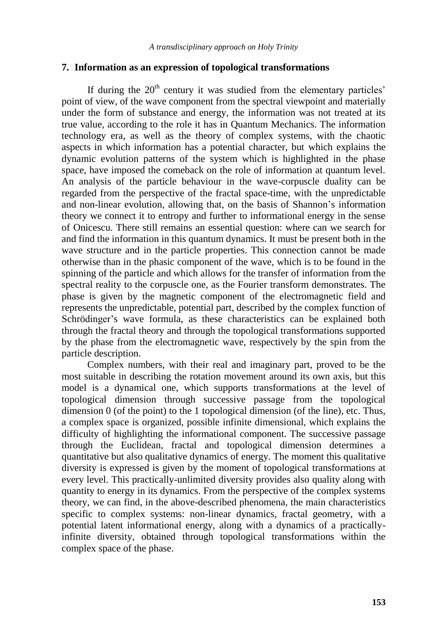#### **7. Information as an expression of topological transformations**

If during the  $20<sup>th</sup>$  century it was studied from the elementary particles' point of view, of the wave component from the spectral viewpoint and materially under the form of substance and energy, the information was not treated at its true value, according to the role it has in Quantum Mechanics. The information technology era, as well as the theory of complex systems, with the chaotic aspects in which information has a potential character, but which explains the dynamic evolution patterns of the system which is highlighted in the phase space, have imposed the comeback on the role of information at quantum level. An analysis of the particle behaviour in the wave-corpuscle duality can be regarded from the perspective of the fractal space-time, with the unpredictable and non-linear evolution, allowing that, on the basis of Shannon"s information theory we connect it to entropy and further to informational energy in the sense of Onicescu. There still remains an essential question: where can we search for and find the information in this quantum dynamics. It must be present both in the wave structure and in the particle properties. This connection cannot be made otherwise than in the phasic component of the wave, which is to be found in the spinning of the particle and which allows for the transfer of information from the spectral reality to the corpuscle one, as the Fourier transform demonstrates. The phase is given by the magnetic component of the electromagnetic field and represents the unpredictable, potential part, described by the complex function of Schrödinger's wave formula, as these characteristics can be explained both through the fractal theory and through the topological transformations supported by the phase from the electromagnetic wave, respectively by the spin from the particle description.

Complex numbers, with their real and imaginary part, proved to be the most suitable in describing the rotation movement around its own axis, but this model is a dynamical one, which supports transformations at the level of topological dimension through successive passage from the topological dimension 0 (of the point) to the 1 topological dimension (of the line), etc. Thus, a complex space is organized, possible infinite dimensional, which explains the difficulty of highlighting the informational component. The successive passage through the Euclidean, fractal and topological dimension determines a quantitative but also qualitative dynamics of energy. The moment this qualitative diversity is expressed is given by the moment of topological transformations at every level. This practically-unlimited diversity provides also quality along with quantity to energy in its dynamics. From the perspective of the complex systems theory, we can find, in the above-described phenomena, the main characteristics specific to complex systems: non-linear dynamics, fractal geometry, with a potential latent informational energy, along with a dynamics of a practicallyinfinite diversity, obtained through topological transformations within the complex space of the phase.